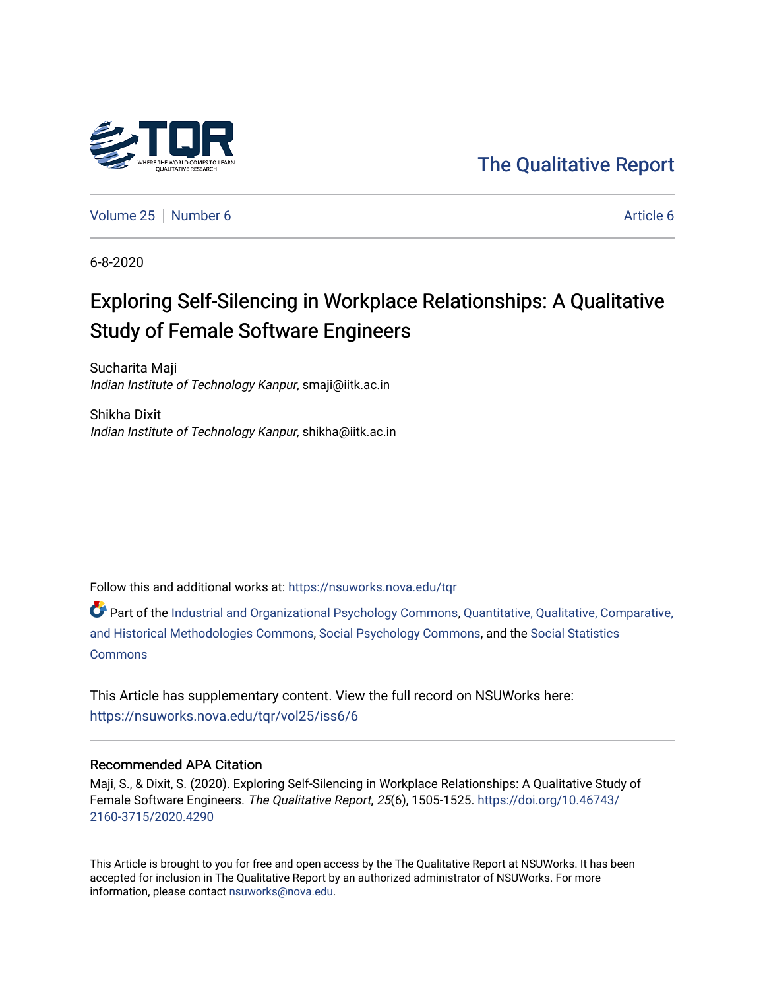

# [The Qualitative Report](https://nsuworks.nova.edu/tqr)

[Volume 25](https://nsuworks.nova.edu/tqr/vol25) [Number 6](https://nsuworks.nova.edu/tqr/vol25/iss6) [Article 6](https://nsuworks.nova.edu/tqr/vol25/iss6/6) Article 6 Article 6 Article 6 Article 6 Article 6 Article 6

6-8-2020

# Exploring Self-Silencing in Workplace Relationships: A Qualitative Study of Female Software Engineers

Sucharita Maji Indian Institute of Technology Kanpur, smaji@iitk.ac.in

Shikha Dixit Indian Institute of Technology Kanpur, shikha@iitk.ac.in

Follow this and additional works at: [https://nsuworks.nova.edu/tqr](https://nsuworks.nova.edu/tqr?utm_source=nsuworks.nova.edu%2Ftqr%2Fvol25%2Fiss6%2F6&utm_medium=PDF&utm_campaign=PDFCoverPages) 

Part of the [Industrial and Organizational Psychology Commons,](http://network.bepress.com/hgg/discipline/412?utm_source=nsuworks.nova.edu%2Ftqr%2Fvol25%2Fiss6%2F6&utm_medium=PDF&utm_campaign=PDFCoverPages) [Quantitative, Qualitative, Comparative,](http://network.bepress.com/hgg/discipline/423?utm_source=nsuworks.nova.edu%2Ftqr%2Fvol25%2Fiss6%2F6&utm_medium=PDF&utm_campaign=PDFCoverPages) [and Historical Methodologies Commons](http://network.bepress.com/hgg/discipline/423?utm_source=nsuworks.nova.edu%2Ftqr%2Fvol25%2Fiss6%2F6&utm_medium=PDF&utm_campaign=PDFCoverPages), [Social Psychology Commons,](http://network.bepress.com/hgg/discipline/414?utm_source=nsuworks.nova.edu%2Ftqr%2Fvol25%2Fiss6%2F6&utm_medium=PDF&utm_campaign=PDFCoverPages) and the [Social Statistics](http://network.bepress.com/hgg/discipline/1275?utm_source=nsuworks.nova.edu%2Ftqr%2Fvol25%2Fiss6%2F6&utm_medium=PDF&utm_campaign=PDFCoverPages)  **[Commons](http://network.bepress.com/hgg/discipline/1275?utm_source=nsuworks.nova.edu%2Ftqr%2Fvol25%2Fiss6%2F6&utm_medium=PDF&utm_campaign=PDFCoverPages)** 

This Article has supplementary content. View the full record on NSUWorks here: <https://nsuworks.nova.edu/tqr/vol25/iss6/6>

# Recommended APA Citation

Maji, S., & Dixit, S. (2020). Exploring Self-Silencing in Workplace Relationships: A Qualitative Study of Female Software Engineers. The Qualitative Report, 25(6), 1505-1525. [https://doi.org/10.46743/](https://doi.org/10.46743/2160-3715/2020.4290) [2160-3715/2020.4290](https://doi.org/10.46743/2160-3715/2020.4290)

This Article is brought to you for free and open access by the The Qualitative Report at NSUWorks. It has been accepted for inclusion in The Qualitative Report by an authorized administrator of NSUWorks. For more information, please contact [nsuworks@nova.edu.](mailto:nsuworks@nova.edu)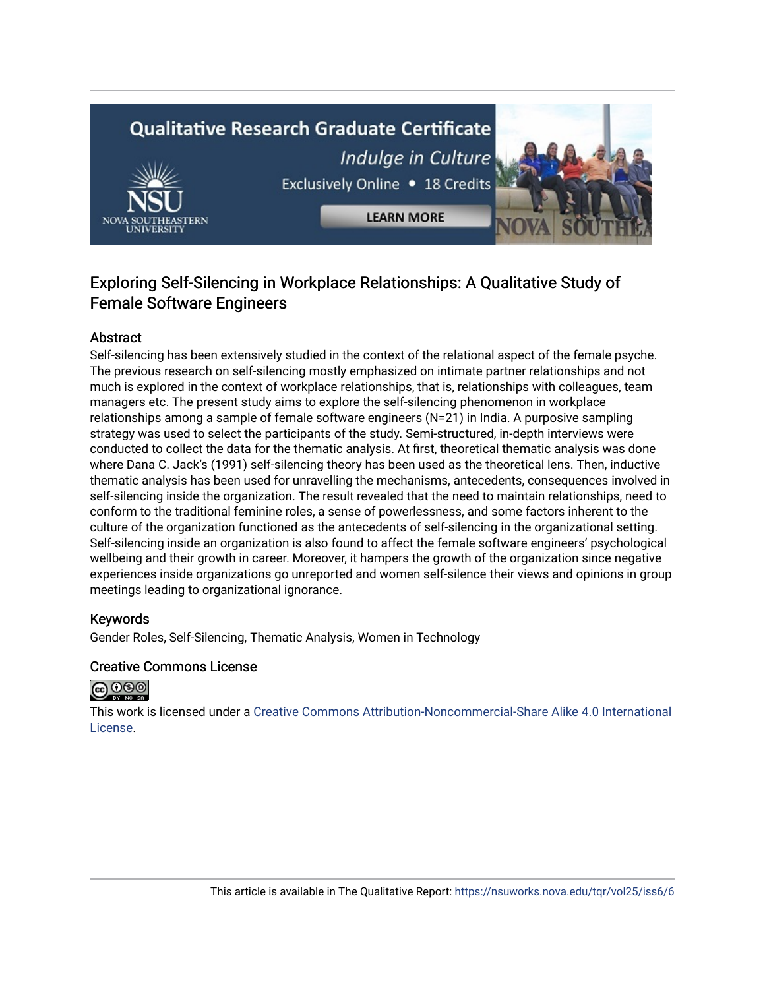# **Qualitative Research Graduate Certificate** Indulge in Culture Exclusively Online . 18 Credits **LEARN MORE**



# Abstract

Self-silencing has been extensively studied in the context of the relational aspect of the female psyche. The previous research on self-silencing mostly emphasized on intimate partner relationships and not much is explored in the context of workplace relationships, that is, relationships with colleagues, team managers etc. The present study aims to explore the self-silencing phenomenon in workplace relationships among a sample of female software engineers (N=21) in India. A purposive sampling strategy was used to select the participants of the study. Semi-structured, in-depth interviews were conducted to collect the data for the thematic analysis. At first, theoretical thematic analysis was done where Dana C. Jack's (1991) self-silencing theory has been used as the theoretical lens. Then, inductive thematic analysis has been used for unravelling the mechanisms, antecedents, consequences involved in self-silencing inside the organization. The result revealed that the need to maintain relationships, need to conform to the traditional feminine roles, a sense of powerlessness, and some factors inherent to the culture of the organization functioned as the antecedents of self-silencing in the organizational setting. Self-silencing inside an organization is also found to affect the female software engineers' psychological wellbeing and their growth in career. Moreover, it hampers the growth of the organization since negative experiences inside organizations go unreported and women self-silence their views and opinions in group meetings leading to organizational ignorance.

#### Keywords

Gender Roles, Self-Silencing, Thematic Analysis, Women in Technology

#### Creative Commons License



This work is licensed under a [Creative Commons Attribution-Noncommercial-Share Alike 4.0 International](https://creativecommons.org/licenses/by-nc-sa/4.0/)  [License](https://creativecommons.org/licenses/by-nc-sa/4.0/).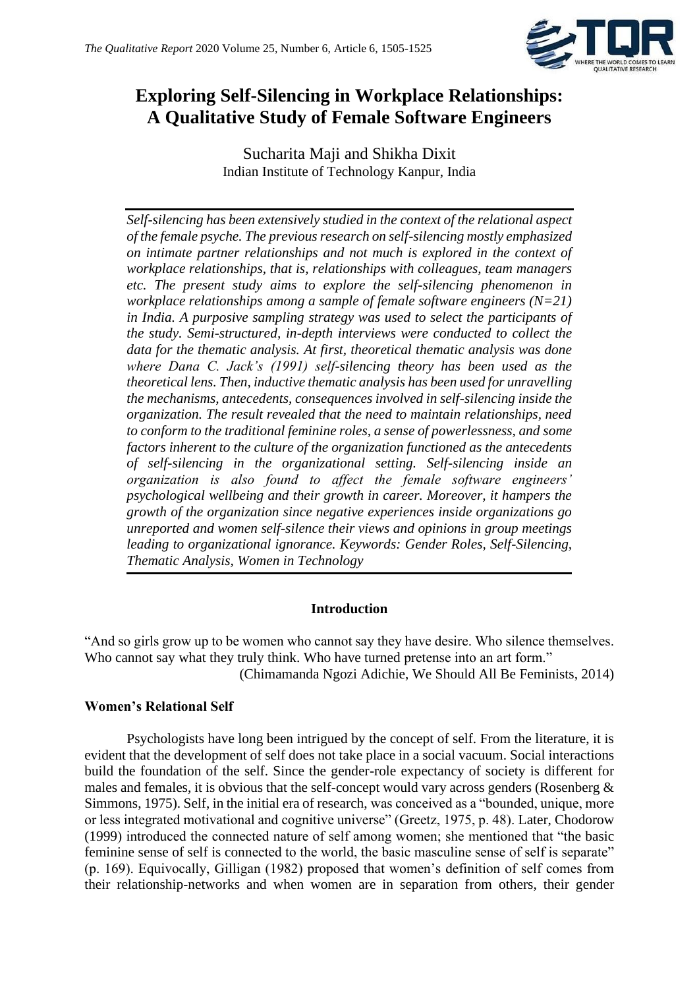

# **Exploring Self-Silencing in Workplace Relationships: A Qualitative Study of Female Software Engineers**

Sucharita Maji and Shikha Dixit Indian Institute of Technology Kanpur, India

*Self-silencing has been extensively studied in the context of the relational aspect of the female psyche. The previous research on self-silencing mostly emphasized on intimate partner relationships and not much is explored in the context of workplace relationships, that is, relationships with colleagues, team managers etc. The present study aims to explore the self-silencing phenomenon in workplace relationships among a sample of female software engineers (N=21) in India. A purposive sampling strategy was used to select the participants of the study. Semi-structured, in-depth interviews were conducted to collect the data for the thematic analysis. At first, theoretical thematic analysis was done where Dana C. Jack's (1991) self-silencing theory has been used as the theoretical lens. Then, inductive thematic analysis has been used for unravelling the mechanisms, antecedents, consequences involved in self-silencing inside the organization. The result revealed that the need to maintain relationships, need to conform to the traditional feminine roles, a sense of powerlessness, and some factors inherent to the culture of the organization functioned as the antecedents of self-silencing in the organizational setting. Self-silencing inside an organization is also found to affect the female software engineers' psychological wellbeing and their growth in career. Moreover, it hampers the growth of the organization since negative experiences inside organizations go unreported and women self-silence their views and opinions in group meetings leading to organizational ignorance. Keywords: Gender Roles, Self-Silencing, Thematic Analysis, Women in Technology*

# **Introduction**

"And so girls grow up to be women who cannot say they have desire. Who silence themselves. Who cannot say what they truly think. Who have turned pretense into an art form."

(Chimamanda Ngozi Adichie, We Should All Be Feminists, 2014)

# **Women's Relational Self**

Psychologists have long been intrigued by the concept of self. From the literature, it is evident that the development of self does not take place in a social vacuum. Social interactions build the foundation of the self. Since the gender-role expectancy of society is different for males and females, it is obvious that the self-concept would vary across genders (Rosenberg  $\&$ Simmons, 1975). Self, in the initial era of research, was conceived as a "bounded, unique, more or less integrated motivational and cognitive universe" (Greetz, 1975, p. 48). Later, Chodorow (1999) introduced the connected nature of self among women; she mentioned that "the basic feminine sense of self is connected to the world, the basic masculine sense of self is separate" (p. 169). Equivocally, Gilligan (1982) proposed that women's definition of self comes from their relationship-networks and when women are in separation from others, their gender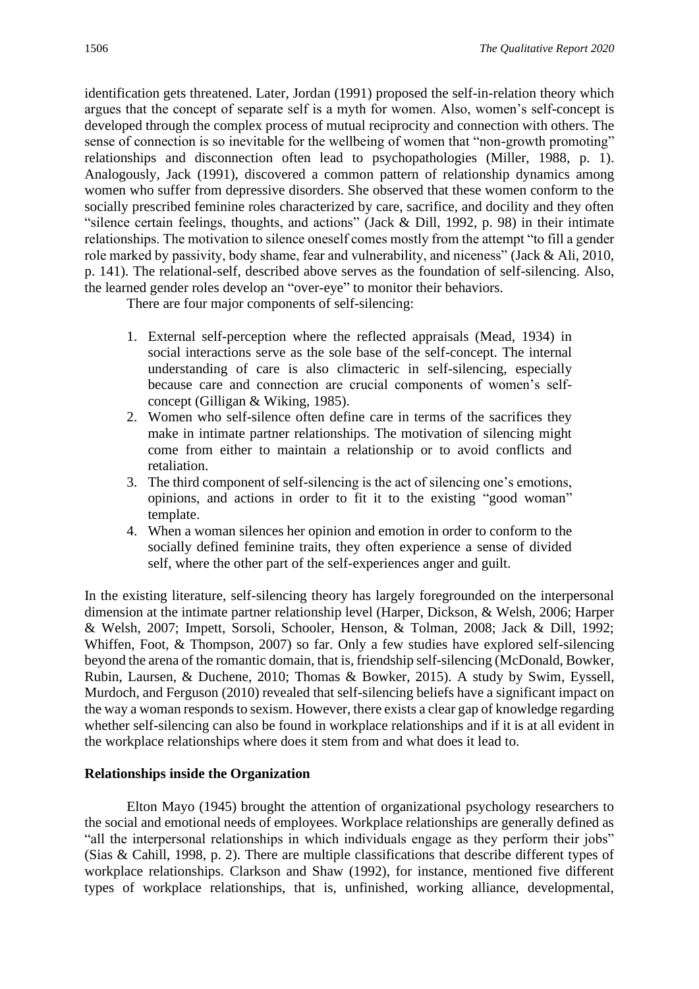identification gets threatened. Later, Jordan (1991) proposed the self-in-relation theory which argues that the concept of separate self is a myth for women. Also, women's self-concept is developed through the complex process of mutual reciprocity and connection with others. The sense of connection is so inevitable for the wellbeing of women that "non-growth promoting" relationships and disconnection often lead to psychopathologies (Miller, 1988, p. 1). Analogously, Jack (1991), discovered a common pattern of relationship dynamics among women who suffer from depressive disorders. She observed that these women conform to the socially prescribed feminine roles characterized by care, sacrifice, and docility and they often "silence certain feelings, thoughts, and actions" (Jack & Dill, 1992, p. 98) in their intimate relationships. The motivation to silence oneself comes mostly from the attempt "to fill a gender role marked by passivity, body shame, fear and vulnerability, and niceness" (Jack & Ali, 2010, p. 141). The relational-self, described above serves as the foundation of self-silencing. Also, the learned gender roles develop an "over-eye" to monitor their behaviors.

There are four major components of self-silencing:

- 1. External self-perception where the reflected appraisals (Mead, 1934) in social interactions serve as the sole base of the self-concept. The internal understanding of care is also climacteric in self-silencing, especially because care and connection are crucial components of women's selfconcept (Gilligan & Wiking, 1985).
- 2. Women who self-silence often define care in terms of the sacrifices they make in intimate partner relationships. The motivation of silencing might come from either to maintain a relationship or to avoid conflicts and retaliation.
- 3. The third component of self-silencing is the act of silencing one's emotions, opinions, and actions in order to fit it to the existing "good woman" template.
- 4. When a woman silences her opinion and emotion in order to conform to the socially defined feminine traits, they often experience a sense of divided self, where the other part of the self-experiences anger and guilt.

In the existing literature, self-silencing theory has largely foregrounded on the interpersonal dimension at the intimate partner relationship level (Harper, Dickson, & Welsh, 2006; Harper & Welsh, 2007; Impett, Sorsoli, Schooler, Henson, & Tolman, 2008; Jack & Dill, 1992; Whiffen, Foot, & Thompson, 2007) so far. Only a few studies have explored self-silencing beyond the arena of the romantic domain, that is, friendship self-silencing (McDonald, Bowker, Rubin, Laursen, & Duchene, 2010; Thomas & Bowker, 2015). A study by Swim, Eyssell, Murdoch, and Ferguson (2010) revealed that self-silencing beliefs have a significant impact on the way a woman responds to sexism. However, there exists a clear gap of knowledge regarding whether self-silencing can also be found in workplace relationships and if it is at all evident in the workplace relationships where does it stem from and what does it lead to.

# **Relationships inside the Organization**

Elton Mayo (1945) brought the attention of organizational psychology researchers to the social and emotional needs of employees. Workplace relationships are generally defined as "all the interpersonal relationships in which individuals engage as they perform their jobs" (Sias & Cahill, 1998, p. 2). There are multiple classifications that describe different types of workplace relationships. Clarkson and Shaw (1992), for instance, mentioned five different types of workplace relationships, that is, unfinished, working alliance, developmental,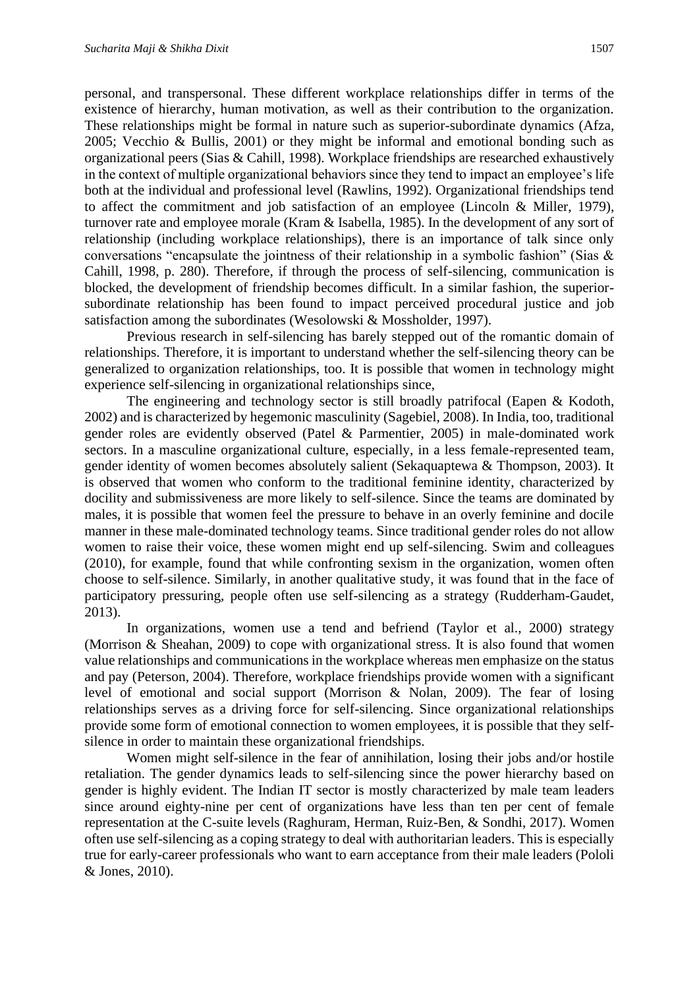personal, and transpersonal. These different workplace relationships differ in terms of the existence of hierarchy, human motivation, as well as their contribution to the organization. These relationships might be formal in nature such as superior-subordinate dynamics (Afza, 2005; Vecchio & Bullis, 2001) or they might be informal and emotional bonding such as organizational peers (Sias & Cahill, 1998). Workplace friendships are researched exhaustively in the context of multiple organizational behaviors since they tend to impact an employee's life both at the individual and professional level (Rawlins, 1992). Organizational friendships tend to affect the commitment and job satisfaction of an employee (Lincoln & Miller, 1979), turnover rate and employee morale (Kram & Isabella, 1985). In the development of any sort of relationship (including workplace relationships), there is an importance of talk since only conversations "encapsulate the jointness of their relationship in a symbolic fashion" (Sias & Cahill, 1998, p. 280). Therefore, if through the process of self-silencing, communication is blocked, the development of friendship becomes difficult. In a similar fashion, the superiorsubordinate relationship has been found to impact perceived procedural justice and job satisfaction among the subordinates (Wesolowski & Mossholder, 1997).

Previous research in self-silencing has barely stepped out of the romantic domain of relationships. Therefore, it is important to understand whether the self-silencing theory can be generalized to organization relationships, too. It is possible that women in technology might experience self-silencing in organizational relationships since,

The engineering and technology sector is still broadly patrifocal (Eapen & Kodoth, 2002) and is characterized by hegemonic masculinity (Sagebiel, 2008). In India, too, traditional gender roles are evidently observed (Patel & Parmentier, 2005) in male-dominated work sectors. In a masculine organizational culture, especially, in a less female-represented team, gender identity of women becomes absolutely salient (Sekaquaptewa & Thompson, 2003). It is observed that women who conform to the traditional feminine identity, characterized by docility and submissiveness are more likely to self-silence. Since the teams are dominated by males, it is possible that women feel the pressure to behave in an overly feminine and docile manner in these male-dominated technology teams. Since traditional gender roles do not allow women to raise their voice, these women might end up self-silencing. Swim and colleagues (2010), for example, found that while confronting sexism in the organization, women often choose to self-silence. Similarly, in another qualitative study, it was found that in the face of participatory pressuring, people often use self-silencing as a strategy (Rudderham-Gaudet, 2013).

In organizations, women use a tend and befriend (Taylor et al., 2000) strategy (Morrison & Sheahan, 2009) to cope with organizational stress. It is also found that women value relationships and communications in the workplace whereas men emphasize on the status and pay (Peterson, 2004). Therefore, workplace friendships provide women with a significant level of emotional and social support (Morrison & Nolan, 2009). The fear of losing relationships serves as a driving force for self-silencing. Since organizational relationships provide some form of emotional connection to women employees, it is possible that they selfsilence in order to maintain these organizational friendships.

Women might self-silence in the fear of annihilation, losing their jobs and/or hostile retaliation. The gender dynamics leads to self-silencing since the power hierarchy based on gender is highly evident. The Indian IT sector is mostly characterized by male team leaders since around eighty-nine per cent of organizations have less than ten per cent of female representation at the C-suite levels (Raghuram, Herman, Ruiz-Ben, & Sondhi, 2017). Women often use self-silencing as a coping strategy to deal with authoritarian leaders. This is especially true for early-career professionals who want to earn acceptance from their male leaders (Pololi & Jones, 2010).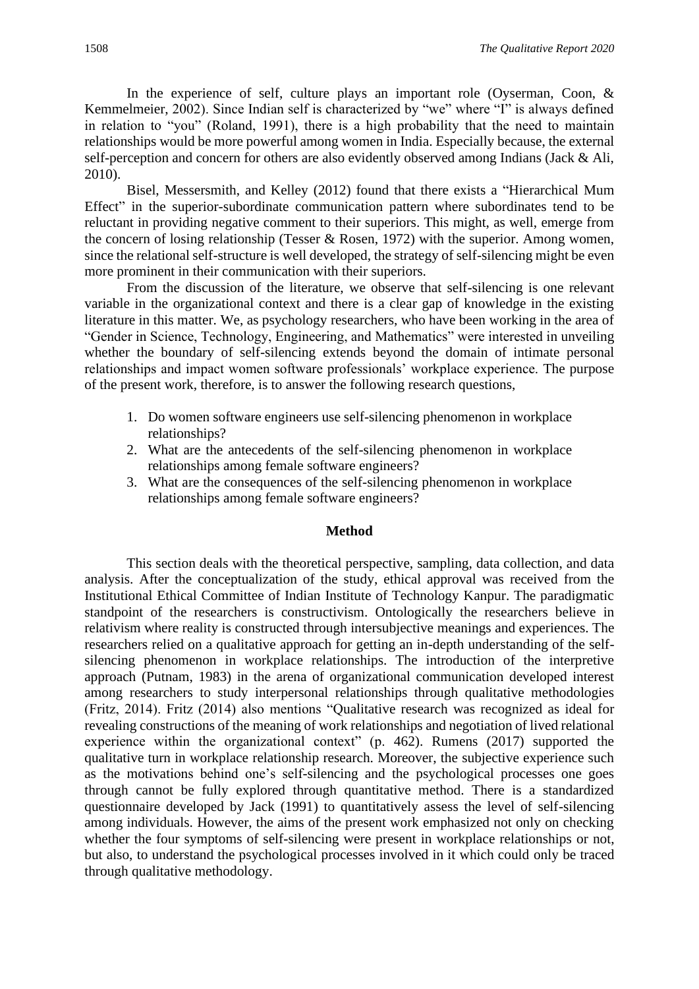In the experience of self, culture plays an important role (Oyserman, Coon,  $\&$ Kemmelmeier, 2002). Since Indian self is characterized by "we" where "I" is always defined in relation to "you" (Roland, 1991), there is a high probability that the need to maintain relationships would be more powerful among women in India. Especially because, the external self-perception and concern for others are also evidently observed among Indians (Jack & Ali, 2010).

Bisel, Messersmith, and Kelley (2012) found that there exists a "Hierarchical Mum Effect" in the superior-subordinate communication pattern where subordinates tend to be reluctant in providing negative comment to their superiors. This might, as well, emerge from the concern of losing relationship (Tesser & Rosen, 1972) with the superior. Among women, since the relational self-structure is well developed, the strategy of self-silencing might be even more prominent in their communication with their superiors.

From the discussion of the literature, we observe that self-silencing is one relevant variable in the organizational context and there is a clear gap of knowledge in the existing literature in this matter. We, as psychology researchers, who have been working in the area of "Gender in Science, Technology, Engineering, and Mathematics" were interested in unveiling whether the boundary of self-silencing extends beyond the domain of intimate personal relationships and impact women software professionals' workplace experience. The purpose of the present work, therefore, is to answer the following research questions,

- 1. Do women software engineers use self-silencing phenomenon in workplace relationships?
- 2. What are the antecedents of the self-silencing phenomenon in workplace relationships among female software engineers?
- 3. What are the consequences of the self-silencing phenomenon in workplace relationships among female software engineers?

#### **Method**

This section deals with the theoretical perspective, sampling, data collection, and data analysis. After the conceptualization of the study, ethical approval was received from the Institutional Ethical Committee of Indian Institute of Technology Kanpur. The paradigmatic standpoint of the researchers is constructivism. Ontologically the researchers believe in relativism where reality is constructed through intersubjective meanings and experiences. The researchers relied on a qualitative approach for getting an in-depth understanding of the selfsilencing phenomenon in workplace relationships. The introduction of the interpretive approach (Putnam, 1983) in the arena of organizational communication developed interest among researchers to study interpersonal relationships through qualitative methodologies (Fritz, 2014). Fritz (2014) also mentions "Qualitative research was recognized as ideal for revealing constructions of the meaning of work relationships and negotiation of lived relational experience within the organizational context" (p. 462). Rumens (2017) supported the qualitative turn in workplace relationship research. Moreover, the subjective experience such as the motivations behind one's self-silencing and the psychological processes one goes through cannot be fully explored through quantitative method. There is a standardized questionnaire developed by Jack (1991) to quantitatively assess the level of self-silencing among individuals. However, the aims of the present work emphasized not only on checking whether the four symptoms of self-silencing were present in workplace relationships or not, but also, to understand the psychological processes involved in it which could only be traced through qualitative methodology.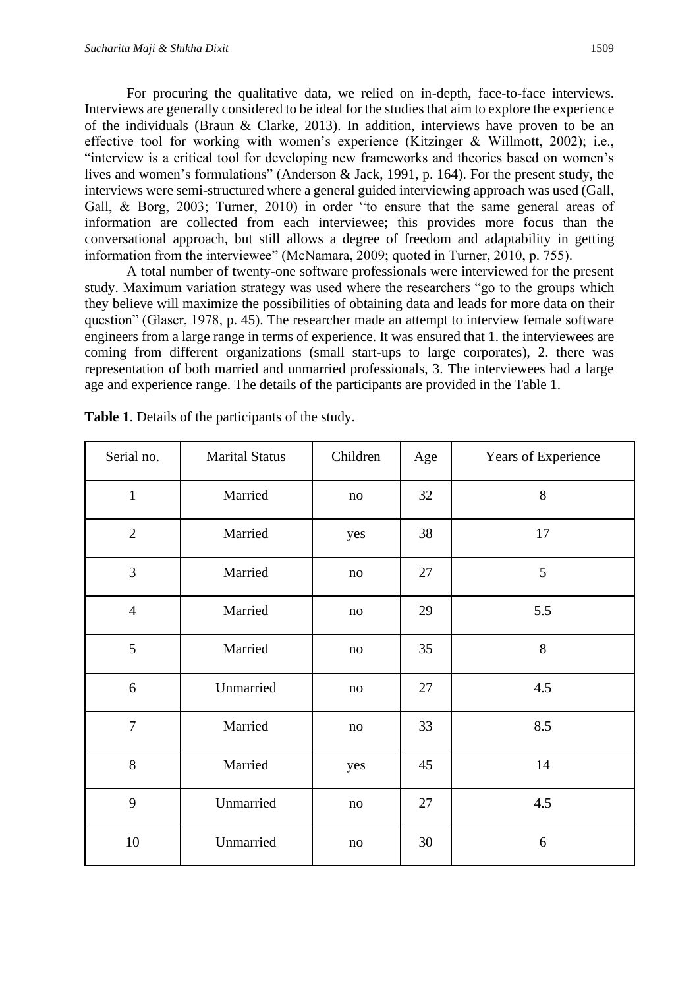For procuring the qualitative data, we relied on in-depth, face-to-face interviews. Interviews are generally considered to be ideal for the studies that aim to explore the experience of the individuals (Braun & Clarke, 2013). In addition, interviews have proven to be an effective tool for working with women's experience (Kitzinger & Willmott, 2002); i.e., "interview is a critical tool for developing new frameworks and theories based on women's lives and women's formulations" (Anderson & Jack, 1991, p. 164). For the present study, the interviews were semi-structured where a general guided interviewing approach was used (Gall, Gall, & Borg, 2003; Turner, 2010) in order "to ensure that the same general areas of information are collected from each interviewee; this provides more focus than the conversational approach, but still allows a degree of freedom and adaptability in getting information from the interviewee" (McNamara, 2009; quoted in Turner, 2010, p. 755).

A total number of twenty-one software professionals were interviewed for the present study. Maximum variation strategy was used where the researchers "go to the groups which they believe will maximize the possibilities of obtaining data and leads for more data on their question" (Glaser, 1978, p. 45). The researcher made an attempt to interview female software engineers from a large range in terms of experience. It was ensured that 1. the interviewees are coming from different organizations (small start-ups to large corporates), 2. there was representation of both married and unmarried professionals, 3. The interviewees had a large age and experience range. The details of the participants are provided in the Table 1.

| Serial no.     | <b>Marital Status</b> | Children | Age | Years of Experience |
|----------------|-----------------------|----------|-----|---------------------|
| $\mathbf{1}$   | Married               | $\rm no$ | 32  | 8                   |
| $\overline{2}$ | Married               | yes      | 38  | 17                  |
| 3              | Married               | no       | 27  | 5                   |
| $\overline{4}$ | Married               | no       | 29  | 5.5                 |
| 5              | Married               | no       | 35  | 8                   |
| 6              | Unmarried             | no       | 27  | 4.5                 |
| $\overline{7}$ | Married               | no       | 33  | 8.5                 |
| 8              | Married               | yes      | 45  | 14                  |
| 9              | Unmarried             | $\rm no$ | 27  | 4.5                 |
| 10             | Unmarried             | $\rm no$ | 30  | 6                   |

**Table 1**. Details of the participants of the study.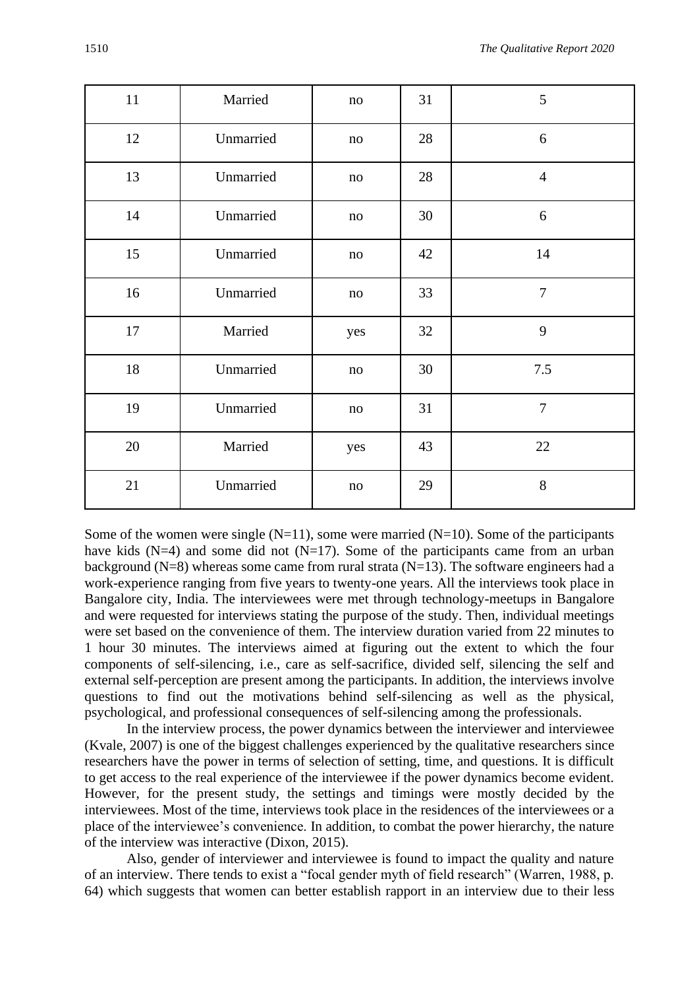| 11 | Married   | no       | 31 | 5              |
|----|-----------|----------|----|----------------|
| 12 | Unmarried | no       | 28 | 6              |
| 13 | Unmarried | no       | 28 | $\overline{4}$ |
| 14 | Unmarried | no       | 30 | 6              |
| 15 | Unmarried | $\rm no$ | 42 | 14             |
| 16 | Unmarried | $\rm no$ | 33 | $\overline{7}$ |
| 17 | Married   | yes      | 32 | 9              |
| 18 | Unmarried | no       | 30 | 7.5            |
| 19 | Unmarried | $\rm no$ | 31 | $\overline{7}$ |
| 20 | Married   | yes      | 43 | 22             |
| 21 | Unmarried | $\rm no$ | 29 | 8              |

Some of the women were single  $(N=11)$ , some were married  $(N=10)$ . Some of the participants have kids  $(N=4)$  and some did not  $(N=17)$ . Some of the participants came from an urban background ( $N=8$ ) whereas some came from rural strata ( $N=13$ ). The software engineers had a work-experience ranging from five years to twenty-one years. All the interviews took place in Bangalore city, India. The interviewees were met through technology-meetups in Bangalore and were requested for interviews stating the purpose of the study. Then, individual meetings were set based on the convenience of them. The interview duration varied from 22 minutes to 1 hour 30 minutes. The interviews aimed at figuring out the extent to which the four components of self-silencing, i.e., care as self-sacrifice, divided self, silencing the self and external self-perception are present among the participants. In addition, the interviews involve questions to find out the motivations behind self-silencing as well as the physical, psychological, and professional consequences of self-silencing among the professionals.

In the interview process, the power dynamics between the interviewer and interviewee (Kvale, 2007) is one of the biggest challenges experienced by the qualitative researchers since researchers have the power in terms of selection of setting, time, and questions. It is difficult to get access to the real experience of the interviewee if the power dynamics become evident. However, for the present study, the settings and timings were mostly decided by the interviewees. Most of the time, interviews took place in the residences of the interviewees or a place of the interviewee's convenience. In addition, to combat the power hierarchy, the nature of the interview was interactive (Dixon, 2015).

Also, gender of interviewer and interviewee is found to impact the quality and nature of an interview. There tends to exist a "focal gender myth of field research" (Warren, 1988, p. 64) which suggests that women can better establish rapport in an interview due to their less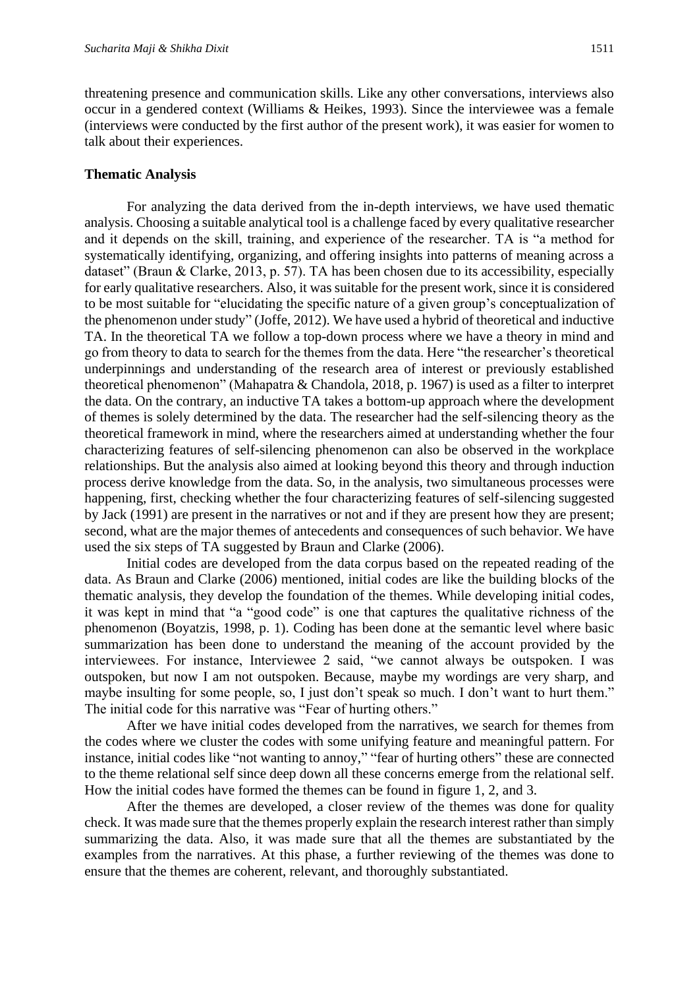threatening presence and communication skills. Like any other conversations, interviews also occur in a gendered context (Williams & Heikes, 1993). Since the interviewee was a female (interviews were conducted by the first author of the present work), it was easier for women to talk about their experiences.

#### **Thematic Analysis**

For analyzing the data derived from the in-depth interviews, we have used thematic analysis. Choosing a suitable analytical tool is a challenge faced by every qualitative researcher and it depends on the skill, training, and experience of the researcher. TA is "a method for systematically identifying, organizing, and offering insights into patterns of meaning across a dataset" (Braun & Clarke, 2013, p. 57). TA has been chosen due to its accessibility, especially for early qualitative researchers. Also, it was suitable for the present work, since it is considered to be most suitable for "elucidating the specific nature of a given group's conceptualization of the phenomenon under study" (Joffe, 2012). We have used a hybrid of theoretical and inductive TA. In the theoretical TA we follow a top-down process where we have a theory in mind and go from theory to data to search for the themes from the data. Here "the researcher's theoretical underpinnings and understanding of the research area of interest or previously established theoretical phenomenon" (Mahapatra & Chandola, 2018, p. 1967) is used as a filter to interpret the data. On the contrary, an inductive TA takes a bottom-up approach where the development of themes is solely determined by the data. The researcher had the self-silencing theory as the theoretical framework in mind, where the researchers aimed at understanding whether the four characterizing features of self-silencing phenomenon can also be observed in the workplace relationships. But the analysis also aimed at looking beyond this theory and through induction process derive knowledge from the data. So, in the analysis, two simultaneous processes were happening, first, checking whether the four characterizing features of self-silencing suggested by Jack (1991) are present in the narratives or not and if they are present how they are present; second, what are the major themes of antecedents and consequences of such behavior. We have used the six steps of TA suggested by Braun and Clarke (2006).

Initial codes are developed from the data corpus based on the repeated reading of the data. As Braun and Clarke (2006) mentioned, initial codes are like the building blocks of the thematic analysis, they develop the foundation of the themes. While developing initial codes, it was kept in mind that "a "good code" is one that captures the qualitative richness of the phenomenon (Boyatzis, 1998, p. 1). Coding has been done at the semantic level where basic summarization has been done to understand the meaning of the account provided by the interviewees. For instance, Interviewee 2 said, "we cannot always be outspoken. I was outspoken, but now I am not outspoken. Because, maybe my wordings are very sharp, and maybe insulting for some people, so, I just don't speak so much. I don't want to hurt them." The initial code for this narrative was "Fear of hurting others."

After we have initial codes developed from the narratives, we search for themes from the codes where we cluster the codes with some unifying feature and meaningful pattern. For instance, initial codes like "not wanting to annoy," "fear of hurting others" these are connected to the theme relational self since deep down all these concerns emerge from the relational self. How the initial codes have formed the themes can be found in figure 1, 2, and 3.

After the themes are developed, a closer review of the themes was done for quality check. It was made sure that the themes properly explain the research interest rather than simply summarizing the data. Also, it was made sure that all the themes are substantiated by the examples from the narratives. At this phase, a further reviewing of the themes was done to ensure that the themes are coherent, relevant, and thoroughly substantiated.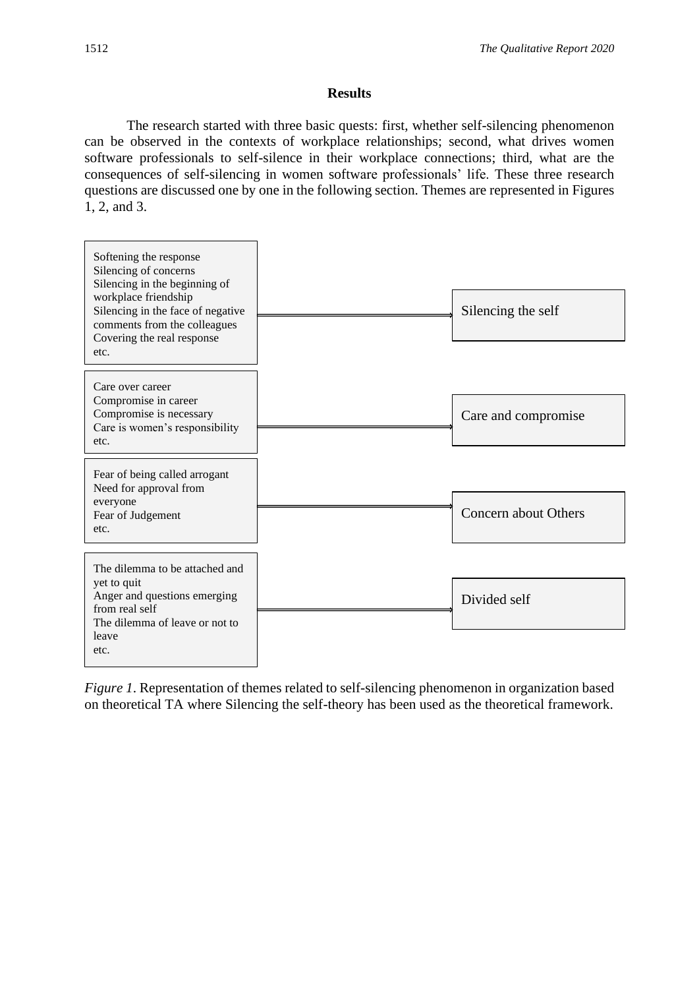# **Results**

The research started with three basic quests: first, whether self-silencing phenomenon can be observed in the contexts of workplace relationships; second, what drives women software professionals to self-silence in their workplace connections; third, what are the consequences of self-silencing in women software professionals' life. These three research questions are discussed one by one in the following section. Themes are represented in Figures 1, 2, and 3.



*Figure 1*. Representation of themes related to self-silencing phenomenon in organization based on theoretical TA where Silencing the self-theory has been used as the theoretical framework.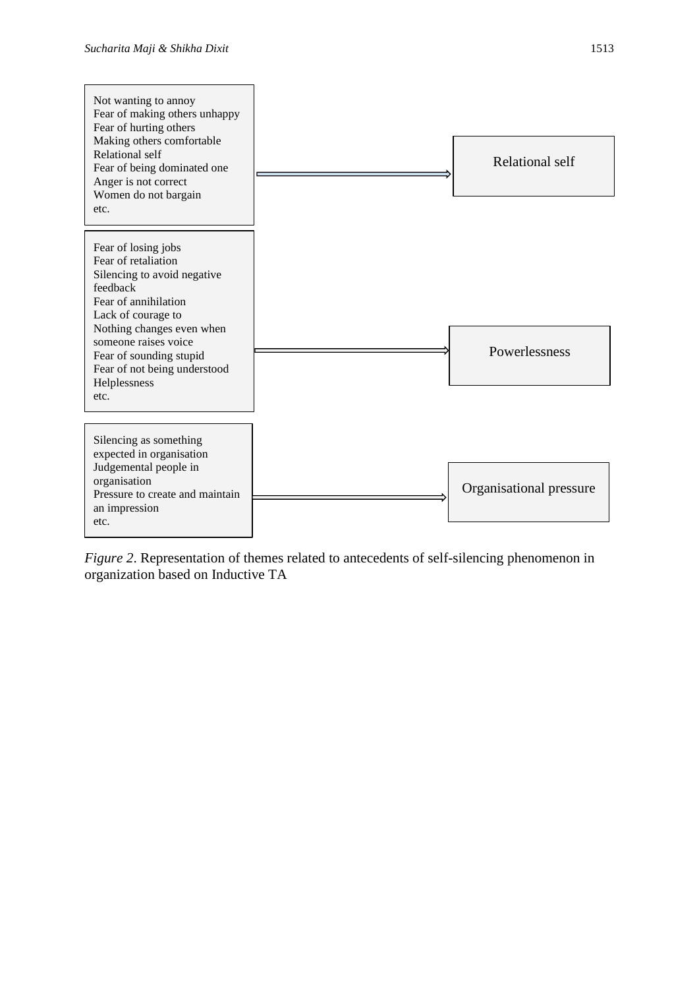

*Figure 2.* Representation of themes related to antecedents of self-silencing phenomenon in organization based on Inductive TA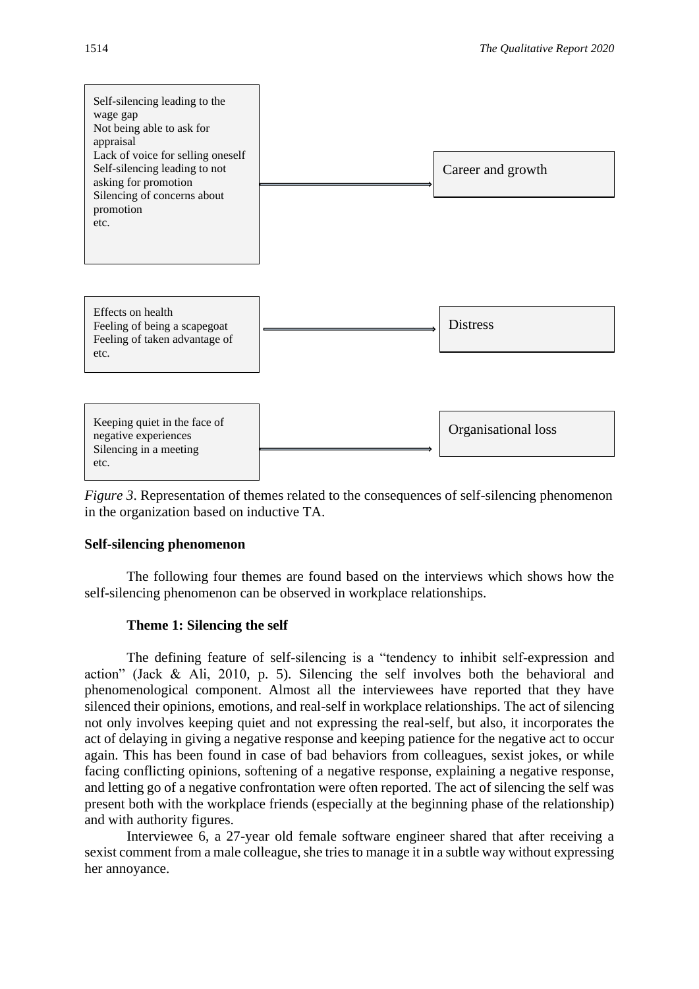

*Figure 3.* Representation of themes related to the consequences of self-silencing phenomenon in the organization based on inductive TA.

#### **Self-silencing phenomenon**

The following four themes are found based on the interviews which shows how the self-silencing phenomenon can be observed in workplace relationships.

#### **Theme 1: Silencing the self**

The defining feature of self-silencing is a "tendency to inhibit self-expression and action" (Jack & Ali, 2010, p. 5). Silencing the self involves both the behavioral and phenomenological component. Almost all the interviewees have reported that they have silenced their opinions, emotions, and real-self in workplace relationships. The act of silencing not only involves keeping quiet and not expressing the real-self, but also, it incorporates the act of delaying in giving a negative response and keeping patience for the negative act to occur again. This has been found in case of bad behaviors from colleagues, sexist jokes, or while facing conflicting opinions, softening of a negative response, explaining a negative response, and letting go of a negative confrontation were often reported. The act of silencing the self was present both with the workplace friends (especially at the beginning phase of the relationship) and with authority figures.

Interviewee 6, a 27-year old female software engineer shared that after receiving a sexist comment from a male colleague, she tries to manage it in a subtle way without expressing her annoyance.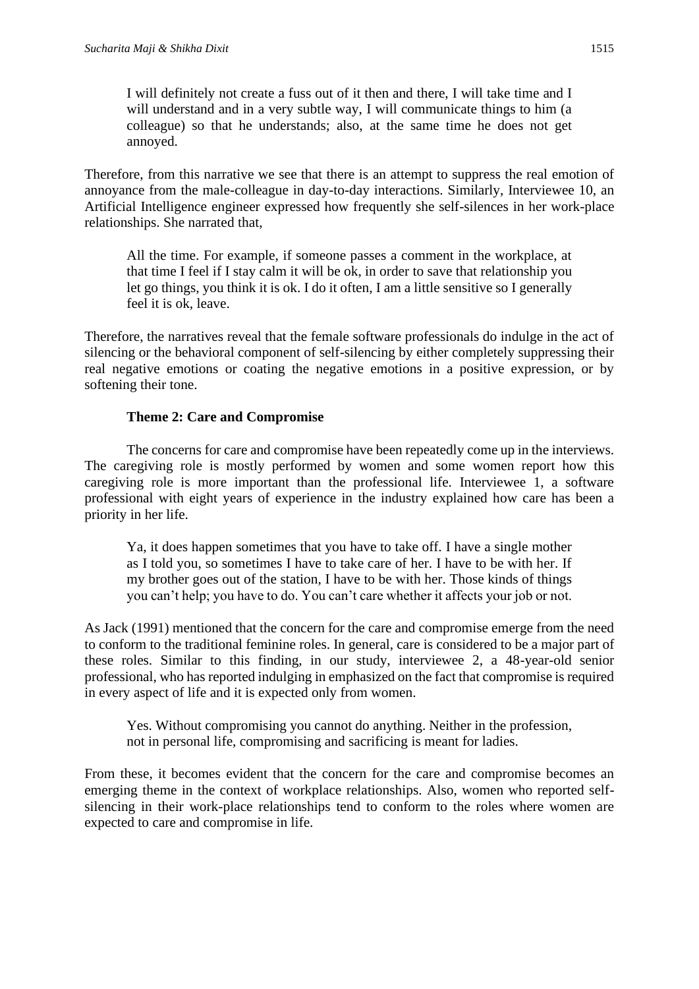I will definitely not create a fuss out of it then and there, I will take time and I will understand and in a very subtle way, I will communicate things to him (a colleague) so that he understands; also, at the same time he does not get annoyed.

Therefore, from this narrative we see that there is an attempt to suppress the real emotion of annoyance from the male-colleague in day-to-day interactions. Similarly, Interviewee 10, an Artificial Intelligence engineer expressed how frequently she self-silences in her work-place relationships. She narrated that,

All the time. For example, if someone passes a comment in the workplace, at that time I feel if I stay calm it will be ok, in order to save that relationship you let go things, you think it is ok. I do it often, I am a little sensitive so I generally feel it is ok, leave.

Therefore, the narratives reveal that the female software professionals do indulge in the act of silencing or the behavioral component of self-silencing by either completely suppressing their real negative emotions or coating the negative emotions in a positive expression, or by softening their tone.

# **Theme 2: Care and Compromise**

The concerns for care and compromise have been repeatedly come up in the interviews. The caregiving role is mostly performed by women and some women report how this caregiving role is more important than the professional life. Interviewee 1, a software professional with eight years of experience in the industry explained how care has been a priority in her life.

Ya, it does happen sometimes that you have to take off. I have a single mother as I told you, so sometimes I have to take care of her. I have to be with her. If my brother goes out of the station, I have to be with her. Those kinds of things you can't help; you have to do. You can't care whether it affects your job or not.

As Jack (1991) mentioned that the concern for the care and compromise emerge from the need to conform to the traditional feminine roles. In general, care is considered to be a major part of these roles. Similar to this finding, in our study, interviewee 2, a 48-year-old senior professional, who has reported indulging in emphasized on the fact that compromise is required in every aspect of life and it is expected only from women.

Yes. Without compromising you cannot do anything. Neither in the profession, not in personal life, compromising and sacrificing is meant for ladies.

From these, it becomes evident that the concern for the care and compromise becomes an emerging theme in the context of workplace relationships. Also, women who reported selfsilencing in their work-place relationships tend to conform to the roles where women are expected to care and compromise in life.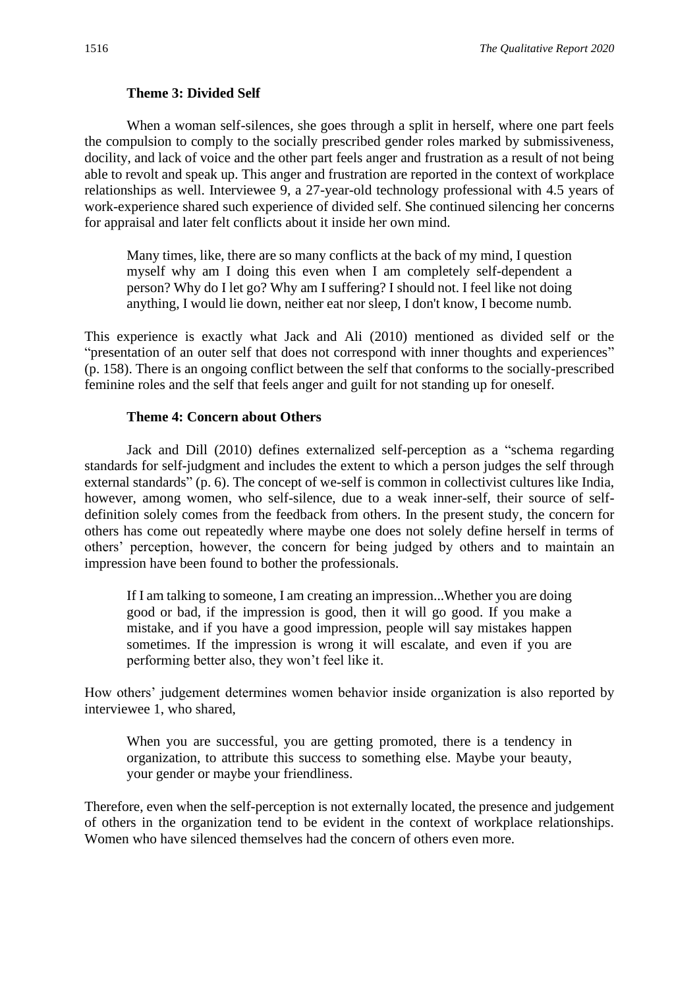#### **Theme 3: Divided Self**

When a woman self-silences, she goes through a split in herself, where one part feels the compulsion to comply to the socially prescribed gender roles marked by submissiveness, docility, and lack of voice and the other part feels anger and frustration as a result of not being able to revolt and speak up. This anger and frustration are reported in the context of workplace relationships as well. Interviewee 9, a 27-year-old technology professional with 4.5 years of work-experience shared such experience of divided self. She continued silencing her concerns for appraisal and later felt conflicts about it inside her own mind.

Many times, like, there are so many conflicts at the back of my mind, I question myself why am I doing this even when I am completely self-dependent a person? Why do I let go? Why am I suffering? I should not. I feel like not doing anything, I would lie down, neither eat nor sleep, I don't know, I become numb.

This experience is exactly what Jack and Ali (2010) mentioned as divided self or the "presentation of an outer self that does not correspond with inner thoughts and experiences" (p. 158). There is an ongoing conflict between the self that conforms to the socially-prescribed feminine roles and the self that feels anger and guilt for not standing up for oneself.

# **Theme 4: Concern about Others**

Jack and Dill (2010) defines externalized self-perception as a "schema regarding standards for self-judgment and includes the extent to which a person judges the self through external standards" (p. 6). The concept of we-self is common in collectivist cultures like India, however, among women, who self-silence, due to a weak inner-self, their source of selfdefinition solely comes from the feedback from others. In the present study, the concern for others has come out repeatedly where maybe one does not solely define herself in terms of others' perception, however, the concern for being judged by others and to maintain an impression have been found to bother the professionals.

If I am talking to someone, I am creating an impression...Whether you are doing good or bad, if the impression is good, then it will go good. If you make a mistake, and if you have a good impression, people will say mistakes happen sometimes. If the impression is wrong it will escalate, and even if you are performing better also, they won't feel like it.

How others' judgement determines women behavior inside organization is also reported by interviewee 1, who shared,

When you are successful, you are getting promoted, there is a tendency in organization, to attribute this success to something else. Maybe your beauty, your gender or maybe your friendliness.

Therefore, even when the self-perception is not externally located, the presence and judgement of others in the organization tend to be evident in the context of workplace relationships. Women who have silenced themselves had the concern of others even more.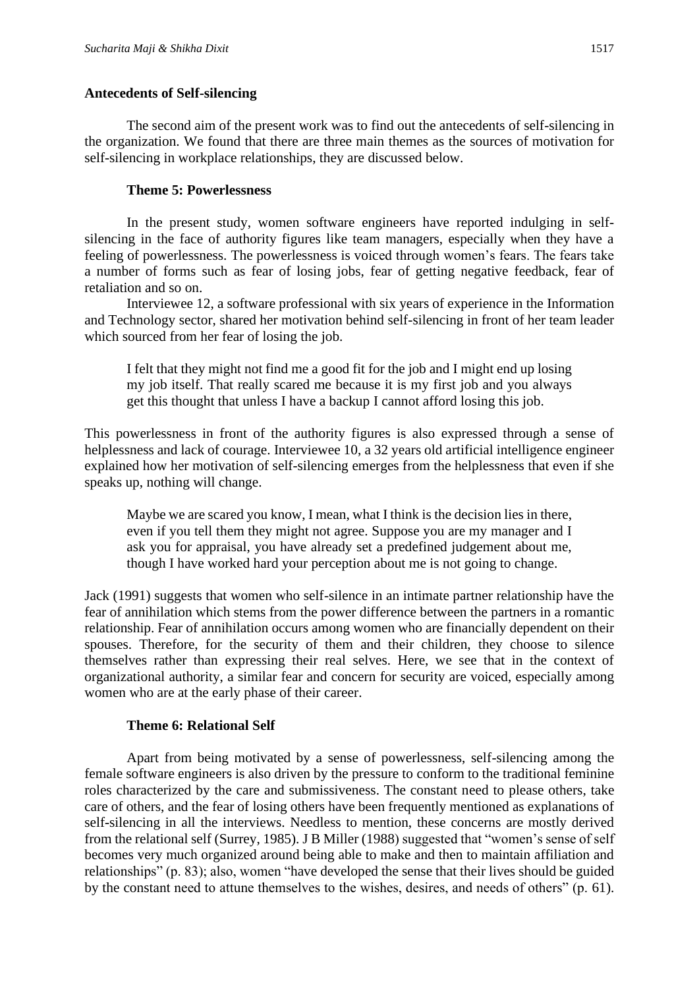#### **Antecedents of Self-silencing**

The second aim of the present work was to find out the antecedents of self-silencing in the organization. We found that there are three main themes as the sources of motivation for self-silencing in workplace relationships, they are discussed below.

# **Theme 5: Powerlessness**

In the present study, women software engineers have reported indulging in selfsilencing in the face of authority figures like team managers, especially when they have a feeling of powerlessness. The powerlessness is voiced through women's fears. The fears take a number of forms such as fear of losing jobs, fear of getting negative feedback, fear of retaliation and so on.

Interviewee 12, a software professional with six years of experience in the Information and Technology sector, shared her motivation behind self-silencing in front of her team leader which sourced from her fear of losing the job.

I felt that they might not find me a good fit for the job and I might end up losing my job itself. That really scared me because it is my first job and you always get this thought that unless I have a backup I cannot afford losing this job.

This powerlessness in front of the authority figures is also expressed through a sense of helplessness and lack of courage. Interviewee 10, a 32 years old artificial intelligence engineer explained how her motivation of self-silencing emerges from the helplessness that even if she speaks up, nothing will change.

Maybe we are scared you know, I mean, what I think is the decision lies in there, even if you tell them they might not agree. Suppose you are my manager and I ask you for appraisal, you have already set a predefined judgement about me, though I have worked hard your perception about me is not going to change.

Jack (1991) suggests that women who self-silence in an intimate partner relationship have the fear of annihilation which stems from the power difference between the partners in a romantic relationship. Fear of annihilation occurs among women who are financially dependent on their spouses. Therefore, for the security of them and their children, they choose to silence themselves rather than expressing their real selves. Here, we see that in the context of organizational authority, a similar fear and concern for security are voiced, especially among women who are at the early phase of their career.

#### **Theme 6: Relational Self**

Apart from being motivated by a sense of powerlessness, self-silencing among the female software engineers is also driven by the pressure to conform to the traditional feminine roles characterized by the care and submissiveness. The constant need to please others, take care of others, and the fear of losing others have been frequently mentioned as explanations of self-silencing in all the interviews. Needless to mention, these concerns are mostly derived from the relational self (Surrey, 1985). J B Miller (1988) suggested that "women's sense of self becomes very much organized around being able to make and then to maintain affiliation and relationships" (p. 83); also, women "have developed the sense that their lives should be guided by the constant need to attune themselves to the wishes, desires, and needs of others" (p. 61).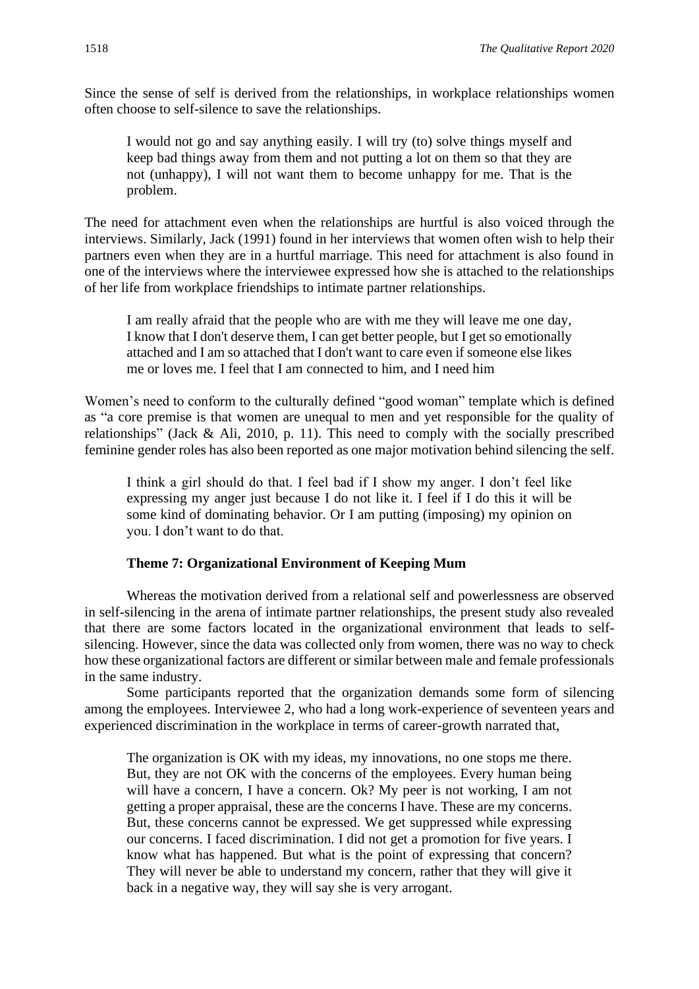Since the sense of self is derived from the relationships, in workplace relationships women often choose to self-silence to save the relationships.

I would not go and say anything easily. I will try (to) solve things myself and keep bad things away from them and not putting a lot on them so that they are not (unhappy), I will not want them to become unhappy for me. That is the problem.

The need for attachment even when the relationships are hurtful is also voiced through the interviews. Similarly, Jack (1991) found in her interviews that women often wish to help their partners even when they are in a hurtful marriage. This need for attachment is also found in one of the interviews where the interviewee expressed how she is attached to the relationships of her life from workplace friendships to intimate partner relationships.

I am really afraid that the people who are with me they will leave me one day, I know that I don't deserve them, I can get better people, but I get so emotionally attached and I am so attached that I don't want to care even if someone else likes me or loves me. I feel that I am connected to him, and I need him

Women's need to conform to the culturally defined "good woman" template which is defined as "a core premise is that women are unequal to men and yet responsible for the quality of relationships" (Jack & Ali, 2010, p. 11). This need to comply with the socially prescribed feminine gender roles has also been reported as one major motivation behind silencing the self.

I think a girl should do that. I feel bad if I show my anger. I don't feel like expressing my anger just because I do not like it. I feel if I do this it will be some kind of dominating behavior. Or I am putting (imposing) my opinion on you. I don't want to do that.

#### **Theme 7: Organizational Environment of Keeping Mum**

Whereas the motivation derived from a relational self and powerlessness are observed in self-silencing in the arena of intimate partner relationships, the present study also revealed that there are some factors located in the organizational environment that leads to selfsilencing. However, since the data was collected only from women, there was no way to check how these organizational factors are different or similar between male and female professionals in the same industry.

Some participants reported that the organization demands some form of silencing among the employees. Interviewee 2, who had a long work-experience of seventeen years and experienced discrimination in the workplace in terms of career-growth narrated that,

The organization is OK with my ideas, my innovations, no one stops me there. But, they are not OK with the concerns of the employees. Every human being will have a concern, I have a concern. Ok? My peer is not working, I am not getting a proper appraisal, these are the concerns I have. These are my concerns. But, these concerns cannot be expressed. We get suppressed while expressing our concerns. I faced discrimination. I did not get a promotion for five years. I know what has happened. But what is the point of expressing that concern? They will never be able to understand my concern, rather that they will give it back in a negative way, they will say she is very arrogant.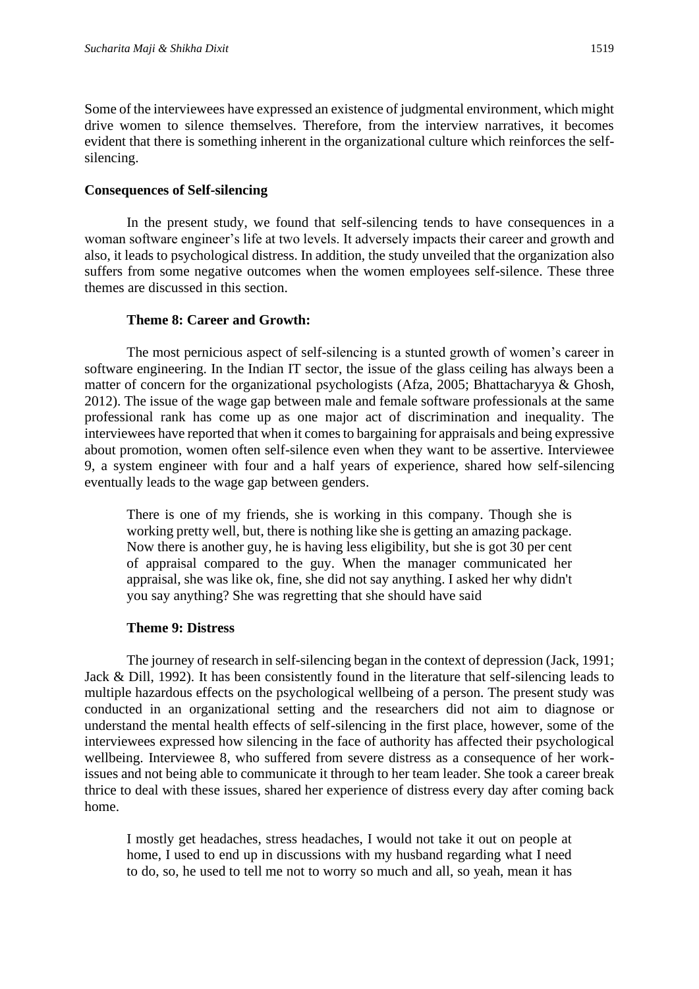Some of the interviewees have expressed an existence of judgmental environment, which might drive women to silence themselves. Therefore, from the interview narratives, it becomes evident that there is something inherent in the organizational culture which reinforces the selfsilencing.

#### **Consequences of Self-silencing**

In the present study, we found that self-silencing tends to have consequences in a woman software engineer's life at two levels. It adversely impacts their career and growth and also, it leads to psychological distress. In addition, the study unveiled that the organization also suffers from some negative outcomes when the women employees self-silence. These three themes are discussed in this section.

#### **Theme 8: Career and Growth:**

The most pernicious aspect of self-silencing is a stunted growth of women's career in software engineering. In the Indian IT sector, the issue of the glass ceiling has always been a matter of concern for the organizational psychologists (Afza, 2005; Bhattacharyya & Ghosh, 2012). The issue of the wage gap between male and female software professionals at the same professional rank has come up as one major act of discrimination and inequality. The interviewees have reported that when it comes to bargaining for appraisals and being expressive about promotion, women often self-silence even when they want to be assertive. Interviewee 9, a system engineer with four and a half years of experience, shared how self-silencing eventually leads to the wage gap between genders.

There is one of my friends, she is working in this company. Though she is working pretty well, but, there is nothing like she is getting an amazing package. Now there is another guy, he is having less eligibility, but she is got 30 per cent of appraisal compared to the guy. When the manager communicated her appraisal, she was like ok, fine, she did not say anything. I asked her why didn't you say anything? She was regretting that she should have said

# **Theme 9: Distress**

The journey of research in self-silencing began in the context of depression (Jack, 1991; Jack & Dill, 1992). It has been consistently found in the literature that self-silencing leads to multiple hazardous effects on the psychological wellbeing of a person. The present study was conducted in an organizational setting and the researchers did not aim to diagnose or understand the mental health effects of self-silencing in the first place, however, some of the interviewees expressed how silencing in the face of authority has affected their psychological wellbeing. Interviewee 8, who suffered from severe distress as a consequence of her workissues and not being able to communicate it through to her team leader. She took a career break thrice to deal with these issues, shared her experience of distress every day after coming back home.

I mostly get headaches, stress headaches, I would not take it out on people at home, I used to end up in discussions with my husband regarding what I need to do, so, he used to tell me not to worry so much and all, so yeah, mean it has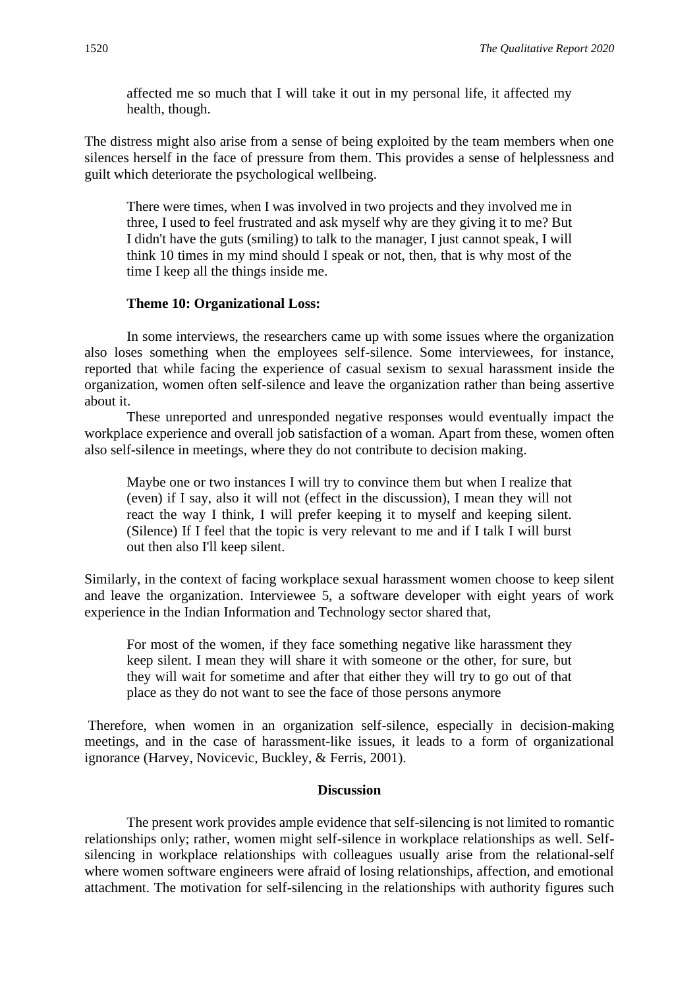affected me so much that I will take it out in my personal life, it affected my health, though.

The distress might also arise from a sense of being exploited by the team members when one silences herself in the face of pressure from them. This provides a sense of helplessness and guilt which deteriorate the psychological wellbeing.

There were times, when I was involved in two projects and they involved me in three, I used to feel frustrated and ask myself why are they giving it to me? But I didn't have the guts (smiling) to talk to the manager, I just cannot speak, I will think 10 times in my mind should I speak or not, then, that is why most of the time I keep all the things inside me.

# **Theme 10: Organizational Loss:**

In some interviews, the researchers came up with some issues where the organization also loses something when the employees self-silence. Some interviewees, for instance, reported that while facing the experience of casual sexism to sexual harassment inside the organization, women often self-silence and leave the organization rather than being assertive about it.

These unreported and unresponded negative responses would eventually impact the workplace experience and overall job satisfaction of a woman. Apart from these, women often also self-silence in meetings, where they do not contribute to decision making.

Maybe one or two instances I will try to convince them but when I realize that (even) if I say, also it will not (effect in the discussion), I mean they will not react the way I think, I will prefer keeping it to myself and keeping silent. (Silence) If I feel that the topic is very relevant to me and if I talk I will burst out then also I'll keep silent.

Similarly, in the context of facing workplace sexual harassment women choose to keep silent and leave the organization. Interviewee 5, a software developer with eight years of work experience in the Indian Information and Technology sector shared that,

For most of the women, if they face something negative like harassment they keep silent. I mean they will share it with someone or the other, for sure, but they will wait for sometime and after that either they will try to go out of that place as they do not want to see the face of those persons anymore

Therefore, when women in an organization self-silence, especially in decision-making meetings, and in the case of harassment-like issues, it leads to a form of organizational ignorance (Harvey, Novicevic, Buckley, & Ferris, 2001).

# **Discussion**

The present work provides ample evidence that self-silencing is not limited to romantic relationships only; rather, women might self-silence in workplace relationships as well. Selfsilencing in workplace relationships with colleagues usually arise from the relational-self where women software engineers were afraid of losing relationships, affection, and emotional attachment. The motivation for self-silencing in the relationships with authority figures such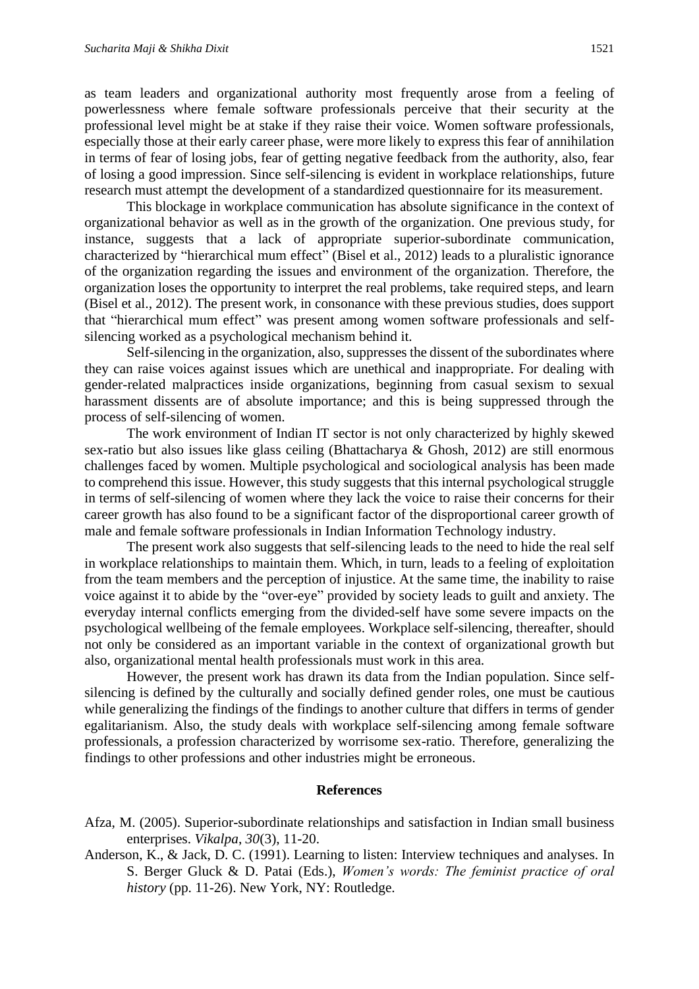as team leaders and organizational authority most frequently arose from a feeling of powerlessness where female software professionals perceive that their security at the professional level might be at stake if they raise their voice. Women software professionals, especially those at their early career phase, were more likely to express this fear of annihilation in terms of fear of losing jobs, fear of getting negative feedback from the authority, also, fear of losing a good impression. Since self-silencing is evident in workplace relationships, future research must attempt the development of a standardized questionnaire for its measurement.

This blockage in workplace communication has absolute significance in the context of organizational behavior as well as in the growth of the organization. One previous study, for instance, suggests that a lack of appropriate superior-subordinate communication, characterized by "hierarchical mum effect" (Bisel et al., 2012) leads to a pluralistic ignorance of the organization regarding the issues and environment of the organization. Therefore, the organization loses the opportunity to interpret the real problems, take required steps, and learn (Bisel et al., 2012). The present work, in consonance with these previous studies, does support that "hierarchical mum effect" was present among women software professionals and selfsilencing worked as a psychological mechanism behind it.

Self-silencing in the organization, also, suppresses the dissent of the subordinates where they can raise voices against issues which are unethical and inappropriate. For dealing with gender-related malpractices inside organizations, beginning from casual sexism to sexual harassment dissents are of absolute importance; and this is being suppressed through the process of self-silencing of women.

The work environment of Indian IT sector is not only characterized by highly skewed sex-ratio but also issues like glass ceiling (Bhattacharya & Ghosh, 2012) are still enormous challenges faced by women. Multiple psychological and sociological analysis has been made to comprehend this issue. However, this study suggests that this internal psychological struggle in terms of self-silencing of women where they lack the voice to raise their concerns for their career growth has also found to be a significant factor of the disproportional career growth of male and female software professionals in Indian Information Technology industry.

The present work also suggests that self-silencing leads to the need to hide the real self in workplace relationships to maintain them. Which, in turn, leads to a feeling of exploitation from the team members and the perception of injustice. At the same time, the inability to raise voice against it to abide by the "over-eye" provided by society leads to guilt and anxiety. The everyday internal conflicts emerging from the divided-self have some severe impacts on the psychological wellbeing of the female employees. Workplace self-silencing, thereafter, should not only be considered as an important variable in the context of organizational growth but also, organizational mental health professionals must work in this area.

However, the present work has drawn its data from the Indian population. Since selfsilencing is defined by the culturally and socially defined gender roles, one must be cautious while generalizing the findings of the findings to another culture that differs in terms of gender egalitarianism. Also, the study deals with workplace self-silencing among female software professionals, a profession characterized by worrisome sex-ratio. Therefore, generalizing the findings to other professions and other industries might be erroneous.

#### **References**

- Afza, M. (2005). Superior-subordinate relationships and satisfaction in Indian small business enterprises. *Vikalpa*, *30*(3), 11-20.
- Anderson, K., & Jack, D. C. (1991). Learning to listen: Interview techniques and analyses. In S. Berger Gluck & D. Patai (Eds.), *Women's words: The feminist practice of oral history* (pp. 11-26). New York, NY: Routledge.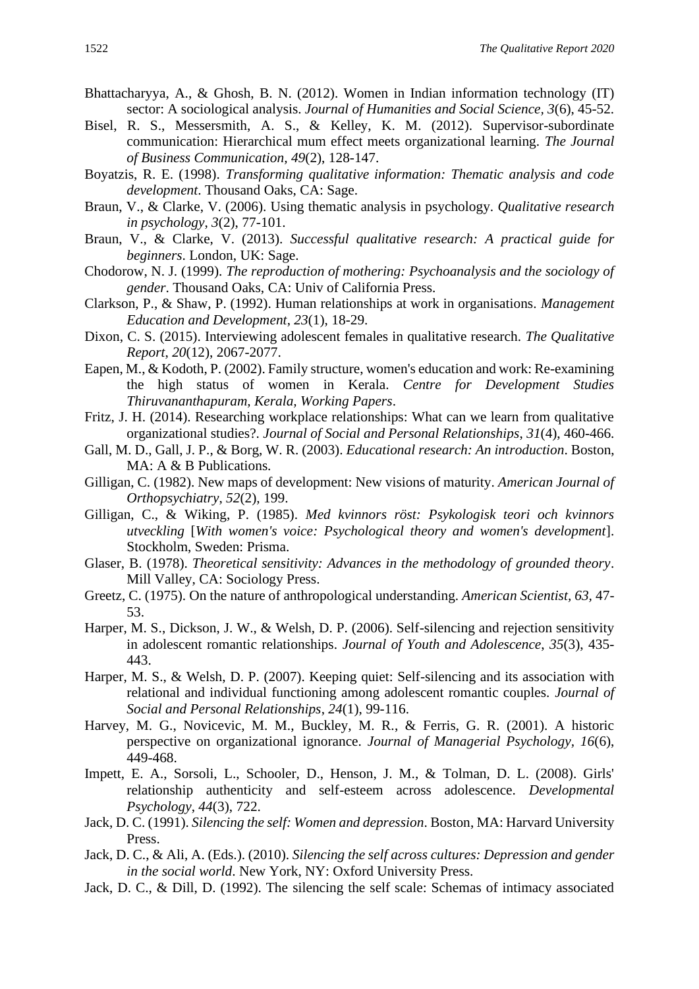- Bhattacharyya, A., & Ghosh, B. N. (2012). Women in Indian information technology (IT) sector: A sociological analysis. *Journal of Humanities and Social Science, 3*(6), 45-52.
- Bisel, R. S., Messersmith, A. S., & Kelley, K. M. (2012). Supervisor-subordinate communication: Hierarchical mum effect meets organizational learning. *The Journal of Business Communication, 49*(2), 128-147.
- Boyatzis, R. E. (1998). *Transforming qualitative information: Thematic analysis and code development*. Thousand Oaks, CA: Sage.
- Braun, V., & Clarke, V. (2006). Using thematic analysis in psychology. *Qualitative research in psychology*, *3*(2), 77-101.
- Braun, V., & Clarke, V. (2013). *Successful qualitative research: A practical guide for beginners*. London, UK: Sage.
- Chodorow, N. J. (1999). *The reproduction of mothering: Psychoanalysis and the sociology of gender*. Thousand Oaks, CA: Univ of California Press.
- Clarkson, P., & Shaw, P. (1992). Human relationships at work in organisations. *Management Education and Development*, *23*(1), 18-29.
- Dixon, C. S. (2015). Interviewing adolescent females in qualitative research. *The Qualitative Report*, *20*(12), 2067-2077.
- Eapen, M., & Kodoth, P. (2002). Family structure, women's education and work: Re-examining the high status of women in Kerala. *Centre for Development Studies Thiruvananthapuram, Kerala, Working Papers*.
- Fritz, J. H. (2014). Researching workplace relationships: What can we learn from qualitative organizational studies?. *Journal of Social and Personal Relationships*, *31*(4), 460-466.
- Gall, M. D., Gall, J. P., & Borg, W. R. (2003). *Educational research: An introduction*. Boston, MA: A & B Publications.
- Gilligan, C. (1982). New maps of development: New visions of maturity. *American Journal of Orthopsychiatry*, *52*(2), 199.
- Gilligan, C., & Wiking, P. (1985). *Med kvinnors röst: Psykologisk teori och kvinnors utveckling* [*With women's voice: Psychological theory and women's development*]. Stockholm, Sweden: Prisma.
- Glaser, B. (1978). *Theoretical sensitivity: Advances in the methodology of grounded theory*. Mill Valley, CA: Sociology Press.
- Greetz, C. (1975). On the nature of anthropological understanding. *American Scientist, 63,* 47- 53.
- Harper, M. S., Dickson, J. W., & Welsh, D. P. (2006). Self-silencing and rejection sensitivity in adolescent romantic relationships. *Journal of Youth and Adolescence*, *35*(3), 435- 443.
- Harper, M. S., & Welsh, D. P. (2007). Keeping quiet: Self-silencing and its association with relational and individual functioning among adolescent romantic couples. *Journal of Social and Personal Relationships*, *24*(1), 99-116.
- Harvey, M. G., Novicevic, M. M., Buckley, M. R., & Ferris, G. R. (2001). A historic perspective on organizational ignorance. *Journal of Managerial Psychology, 16*(6), 449-468.
- Impett, E. A., Sorsoli, L., Schooler, D., Henson, J. M., & Tolman, D. L. (2008). Girls' relationship authenticity and self-esteem across adolescence. *Developmental Psychology*, *44*(3), 722.
- Jack, D. C. (1991). *Silencing the self: Women and depression*. Boston, MA: Harvard University Press.
- Jack, D. C., & Ali, A. (Eds.). (2010). *Silencing the self across cultures: Depression and gender in the social world*. New York, NY: Oxford University Press.
- Jack, D. C., & Dill, D. (1992). The silencing the self scale: Schemas of intimacy associated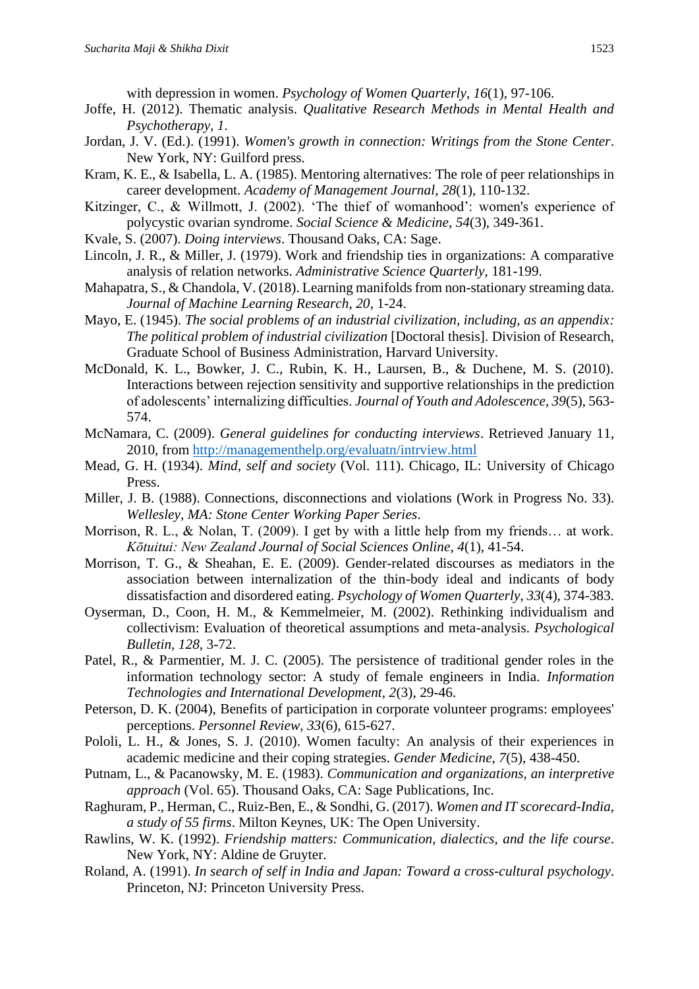with depression in women. *Psychology of Women Quarterly*, *16*(1), 97-106.

- Joffe, H. (2012). Thematic analysis. *Qualitative Research Methods in Mental Health and Psychotherapy, 1*.
- Jordan, J. V. (Ed.). (1991). *Women's growth in connection: Writings from the Stone Center*. New York, NY: Guilford press.
- Kram, K. E., & Isabella, L. A. (1985). Mentoring alternatives: The role of peer relationships in career development. *Academy of Management Journal*, *28*(1), 110-132.
- Kitzinger, C., & Willmott, J. (2002). 'The thief of womanhood': women's experience of polycystic ovarian syndrome. *Social Science & Medicine*, *54*(3), 349-361.
- Kvale, S. (2007). *Doing interviews*. Thousand Oaks, CA: Sage.
- Lincoln, J. R., & Miller, J. (1979). Work and friendship ties in organizations: A comparative analysis of relation networks. *Administrative Science Quarterly*, 181-199.
- Mahapatra, S., & Chandola, V. (2018). Learning manifolds from non-stationary streaming data. *Journal of Machine Learning Research, 20*, 1-24.
- Mayo, E. (1945). *The social problems of an industrial civilization, including, as an appendix: The political problem of industrial civilization* [Doctoral thesis]. Division of Research, Graduate School of Business Administration, Harvard University.
- McDonald, K. L., Bowker, J. C., Rubin, K. H., Laursen, B., & Duchene, M. S. (2010). Interactions between rejection sensitivity and supportive relationships in the prediction of adolescents' internalizing difficulties. *Journal of Youth and Adolescence*, *39*(5), 563- 574.
- McNamara, C. (2009). *General guidelines for conducting interviews*. Retrieved January 11, 2010, from<http://managementhelp.org/evaluatn/intrview.html>
- Mead, G. H. (1934). *Mind, self and society* (Vol. 111). Chicago, IL: University of Chicago Press.
- Miller, J. B. (1988). Connections, disconnections and violations (Work in Progress No. 33). *Wellesley, MA: Stone Center Working Paper Series*.
- Morrison, R. L., & Nolan, T. (2009). I get by with a little help from my friends… at work. *Kōtuitui: New Zealand Journal of Social Sciences Online*, *4*(1), 41-54.
- Morrison, T. G., & Sheahan, E. E. (2009). Gender-related discourses as mediators in the association between internalization of the thin-body ideal and indicants of body dissatisfaction and disordered eating. *Psychology of Women Quarterly*, *33*(4), 374-383.
- Oyserman, D., Coon, H. M., & Kemmelmeier, M. (2002). Rethinking individualism and collectivism: Evaluation of theoretical assumptions and meta-analysis. *Psychological Bulletin, 128*, 3-72.
- Patel, R., & Parmentier, M. J. C. (2005). The persistence of traditional gender roles in the information technology sector: A study of female engineers in India. *Information Technologies and International Development, 2*(3), 29-46.
- Peterson, D. K. (2004), Benefits of participation in corporate volunteer programs: employees' perceptions. *Personnel Review, 33*(6), 615-627.
- Pololi, L. H., & Jones, S. J. (2010). Women faculty: An analysis of their experiences in academic medicine and their coping strategies. *Gender Medicine*, *7*(5), 438-450.
- Putnam, L., & Pacanowsky, M. E. (1983). *Communication and organizations, an interpretive approach* (Vol. 65). Thousand Oaks, CA: Sage Publications, Inc.
- Raghuram, P., Herman, C., Ruiz-Ben, E., & Sondhi, G. (2017). *Women and IT scorecard-India, a study of 55 firms*. Milton Keynes, UK: The Open University.
- Rawlins, W. K. (1992). *Friendship matters: Communication, dialectics, and the life course*. New York, NY: Aldine de Gruyter.
- Roland, A. (1991). *In search of self in India and Japan: Toward a cross-cultural psychology*. Princeton, NJ: Princeton University Press.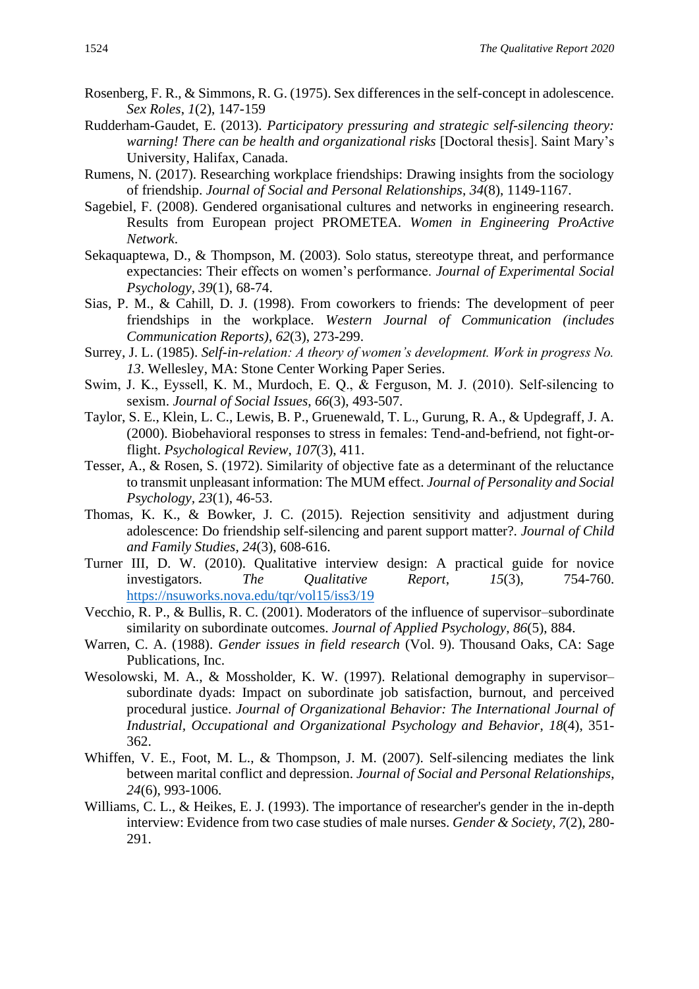- Rosenberg, F. R., & Simmons, R. G. (1975). Sex differences in the self-concept in adolescence. *Sex Roles*, *1*(2), 147-159
- Rudderham-Gaudet, E. (2013). *Participatory pressuring and strategic self-silencing theory: warning! There can be health and organizational risks* [Doctoral thesis]. Saint Mary's University, Halifax, Canada.
- Rumens, N. (2017). Researching workplace friendships: Drawing insights from the sociology of friendship. *Journal of Social and Personal Relationships*, *34*(8), 1149-1167.
- Sagebiel, F. (2008). Gendered organisational cultures and networks in engineering research. Results from European project PROMETEA. *Women in Engineering ProActive Network*.
- Sekaquaptewa, D., & Thompson, M. (2003). Solo status, stereotype threat, and performance expectancies: Their effects on women's performance. *Journal of Experimental Social Psychology*, *39*(1), 68-74.
- Sias, P. M., & Cahill, D. J. (1998). From coworkers to friends: The development of peer friendships in the workplace. *Western Journal of Communication (includes Communication Reports)*, *62*(3), 273-299.
- Surrey, J. L. (1985). *Self-in-relation: A theory of women's development. Work in progress No. 13*. Wellesley, MA: Stone Center Working Paper Series.
- Swim, J. K., Eyssell, K. M., Murdoch, E. Q., & Ferguson, M. J. (2010). Self‐silencing to sexism. *Journal of Social Issues*, *66*(3), 493-507.
- Taylor, S. E., Klein, L. C., Lewis, B. P., Gruenewald, T. L., Gurung, R. A., & Updegraff, J. A. (2000). Biobehavioral responses to stress in females: Tend-and-befriend, not fight-orflight. *Psychological Review*, *107*(3), 411.
- Tesser, A., & Rosen, S. (1972). Similarity of objective fate as a determinant of the reluctance to transmit unpleasant information: The MUM effect. *Journal of Personality and Social Psychology, 23*(1), 46-53.
- Thomas, K. K., & Bowker, J. C. (2015). Rejection sensitivity and adjustment during adolescence: Do friendship self-silencing and parent support matter?. *Journal of Child and Family Studies*, *24*(3), 608-616.
- Turner III, D. W. (2010). Qualitative interview design: A practical guide for novice investigators. *The Qualitative Report*, *15*(3), 754-760. <https://nsuworks.nova.edu/tqr/vol15/iss3/19>
- Vecchio, R. P., & Bullis, R. C. (2001). Moderators of the influence of supervisor–subordinate similarity on subordinate outcomes. *Journal of Applied Psychology*, *86*(5), 884.
- Warren, C. A. (1988). *Gender issues in field research* (Vol. 9). Thousand Oaks, CA: Sage Publications, Inc.
- Wesolowski, M. A., & Mossholder, K. W. (1997). Relational demography in supervisor– subordinate dyads: Impact on subordinate job satisfaction, burnout, and perceived procedural justice. *Journal of Organizational Behavior: The International Journal of Industrial, Occupational and Organizational Psychology and Behavior*, *18*(4), 351- 362.
- Whiffen, V. E., Foot, M. L., & Thompson, J. M. (2007). Self-silencing mediates the link between marital conflict and depression. *Journal of Social and Personal Relationships*, *24*(6), 993-1006.
- Williams, C. L., & Heikes, E. J. (1993). The importance of researcher's gender in the in-depth interview: Evidence from two case studies of male nurses. *Gender & Society*, *7*(2), 280- 291.